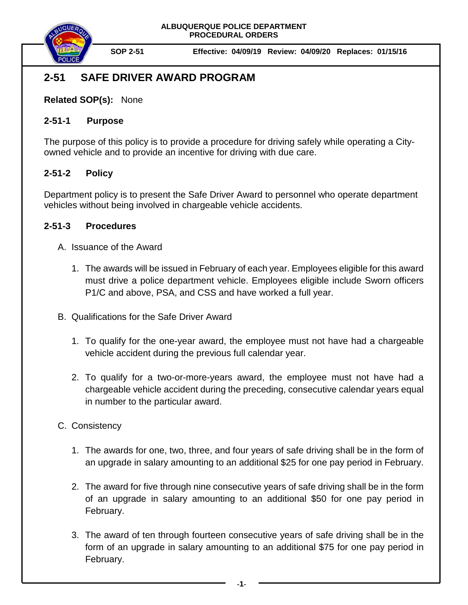

**SOP 2-51 Effective: 04/09/19 Review: 04/09/20 Replaces: 01/15/16**

# **2-51 SAFE DRIVER AWARD PROGRAM**

**Related SOP(s):** None

#### **2-51-1 Purpose**

The purpose of this policy is to provide a procedure for driving safely while operating a Cityowned vehicle and to provide an incentive for driving with due care.

## **2-51-2 Policy**

Department policy is to present the Safe Driver Award to personnel who operate department vehicles without being involved in chargeable vehicle accidents.

## **2-51-3 Procedures**

- A. Issuance of the Award
	- 1. The awards will be issued in February of each year. Employees eligible for this award must drive a police department vehicle. Employees eligible include Sworn officers P1/C and above, PSA, and CSS and have worked a full year.
- B. Qualifications for the Safe Driver Award
	- 1. To qualify for the one-year award, the employee must not have had a chargeable vehicle accident during the previous full calendar year.
	- 2. To qualify for a two-or-more-years award, the employee must not have had a chargeable vehicle accident during the preceding, consecutive calendar years equal in number to the particular award.

## C. Consistency

- 1. The awards for one, two, three, and four years of safe driving shall be in the form of an upgrade in salary amounting to an additional \$25 for one pay period in February.
- 2. The award for five through nine consecutive years of safe driving shall be in the form of an upgrade in salary amounting to an additional \$50 for one pay period in February.
- 3. The award of ten through fourteen consecutive years of safe driving shall be in the form of an upgrade in salary amounting to an additional \$75 for one pay period in February.